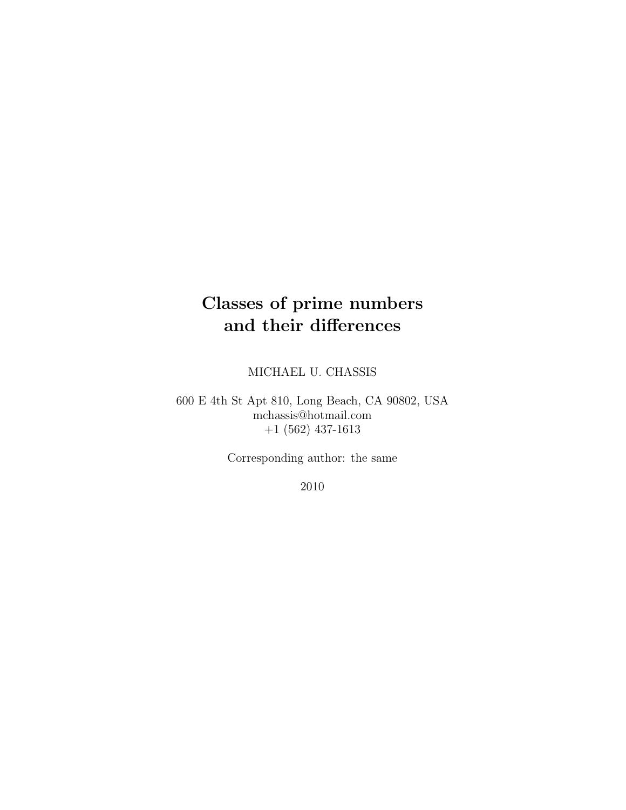# Classes of prime numbers and their differences

MICHAEL U. CHASSIS

600 E 4th St Apt 810, Long Beach, CA 90802, USA mchassis@hotmail.com +1 (562) 437-1613

Corresponding author: the same

2010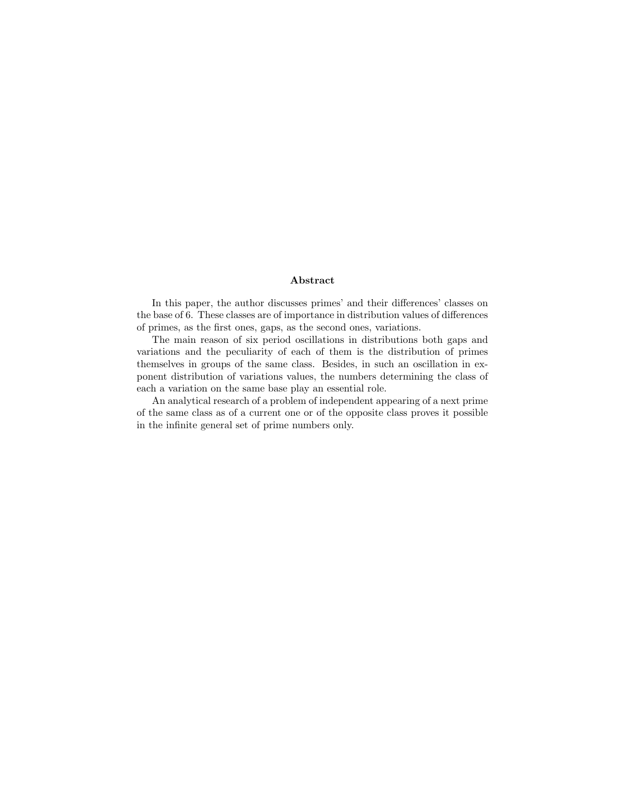#### Abstract

In this paper, the author discusses primes' and their differences' classes on the base of 6. These classes are of importance in distribution values of differences of primes, as the first ones, gaps, as the second ones, variations.

The main reason of six period oscillations in distributions both gaps and variations and the peculiarity of each of them is the distribution of primes themselves in groups of the same class. Besides, in such an oscillation in exponent distribution of variations values, the numbers determining the class of each a variation on the same base play an essential role.

An analytical research of a problem of independent appearing of a next prime of the same class as of a current one or of the opposite class proves it possible in the infinite general set of prime numbers only.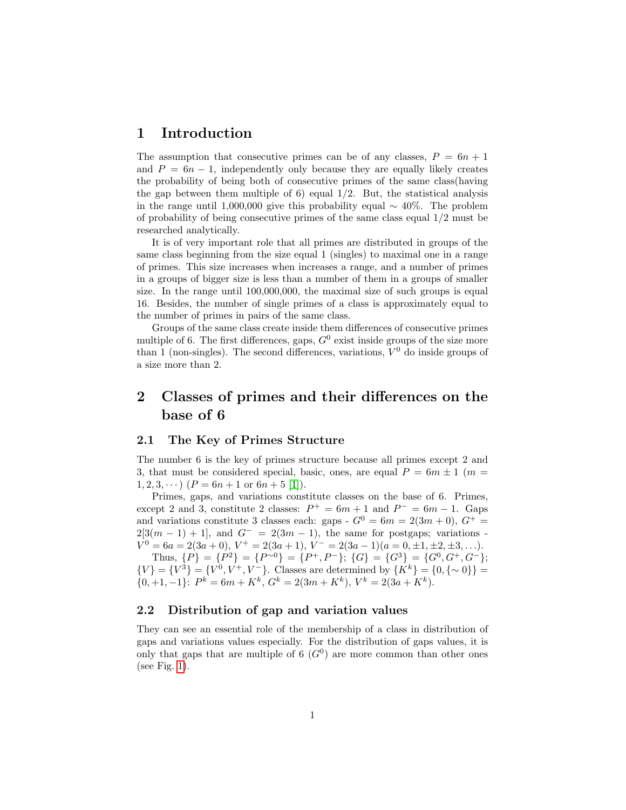## 1 Introduction

The assumption that consecutive primes can be of any classes,  $P = 6n + 1$ and  $P = 6n - 1$ , independently only because they are equally likely creates the probability of being both of consecutive primes of the same class(having the gap between them multiple of 6) equal  $1/2$ . But, the statistical analysis in the range until 1,000,000 give this probability equal  $\sim 40\%$ . The problem of probability of being consecutive primes of the same class equal 1/2 must be researched analytically.

It is of very important role that all primes are distributed in groups of the same class beginning from the size equal 1 (singles) to maximal one in a range of primes. This size increases when increases a range, and a number of primes in a groups of bigger size is less than a number of them in a groups of smaller size. In the range until 100,000,000, the maximal size of such groups is equal 16. Besides, the number of single primes of a class is approximately equal to the number of primes in pairs of the same class.

Groups of the same class create inside them differences of consecutive primes multiple of 6. The first differences, gaps,  $G^0$  exist inside groups of the size more than 1 (non-singles). The second differences, variations,  $V^0$  do inside groups of a size more than 2.

# 2 Classes of primes and their differences on the base of 6

### 2.1 The Key of Primes Structure

The number 6 is the key of primes structure because all primes except 2 and 3, that must be considered special, basic, ones, are equal  $P = 6m \pm 1$  (m =  $1, 2, 3, \cdots$   $(P = 6n + 1 \text{ or } 6n + 5 \text{ [1]}).$  $(P = 6n + 1 \text{ or } 6n + 5 \text{ [1]}).$  $(P = 6n + 1 \text{ or } 6n + 5 \text{ [1]}).$ 

Primes, gaps, and variations constitute classes on the base of 6. Primes, except 2 and 3, constitute 2 classes:  $P^+ = 6m + 1$  and  $P^- = 6m - 1$ . Gaps and variations constitute 3 classes each: gaps -  $G^0 = 6m = 2(3m + 0)$ ,  $G^+$  =  $2[3(m-1)+1]$ , and  $G^{-} = 2(3m - 1)$ , the same for postgaps; variations - $V^0 = 6a = 2(3a + 0), V^+ = 2(3a + 1), V^- = 2(3a - 1)(a = 0, \pm 1, \pm 2, \pm 3, \ldots).$ Thus,  $\{P\} = \{P^2\} = \{P^{-0}\} = \{P^+, P^-\}; \{G\} = \{G^3\} = \{G^0, G^+, G^-\};$ 

 ${V} = {V^3} = {V^0, V^+, V^-}$ . Classes are determined by  ${K^k} = {0, {\sim 0}}$  $\{0, +1, -1\}$ :  $P^k = 6m + K^k$ ,  $G^k = 2(3m + K^k)$ ,  $V^k = 2(3a + K^k)$ .

### 2.2 Distribution of gap and variation values

They can see an essential role of the membership of a class in distribution of gaps and variations values especially. For the distribution of gaps values, it is only that gaps that are multiple of 6  $(G<sup>0</sup>)$  are more common than other ones (see Fig. [1\)](#page-3-0).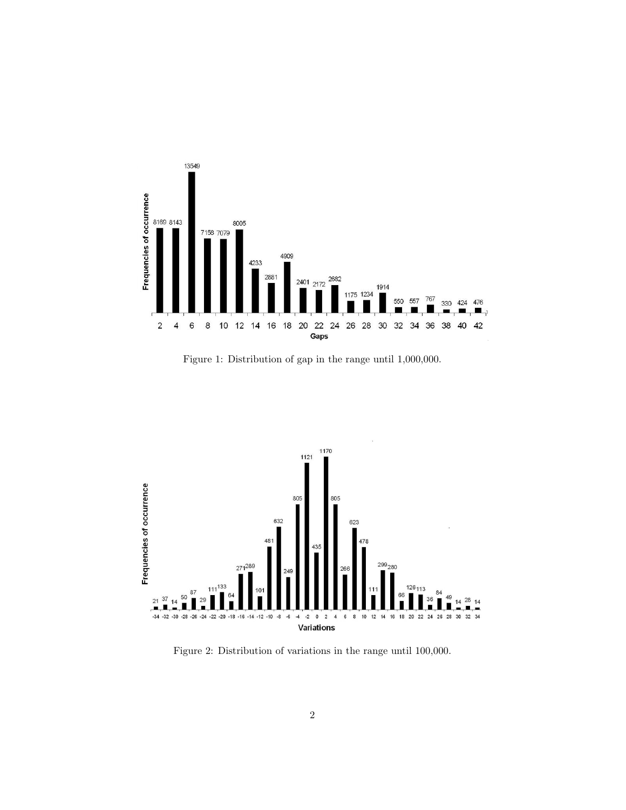

<span id="page-3-0"></span>Figure 1: Distribution of gap in the range until 1,000,000.



<span id="page-3-1"></span>Figure 2: Distribution of variations in the range until 100,000.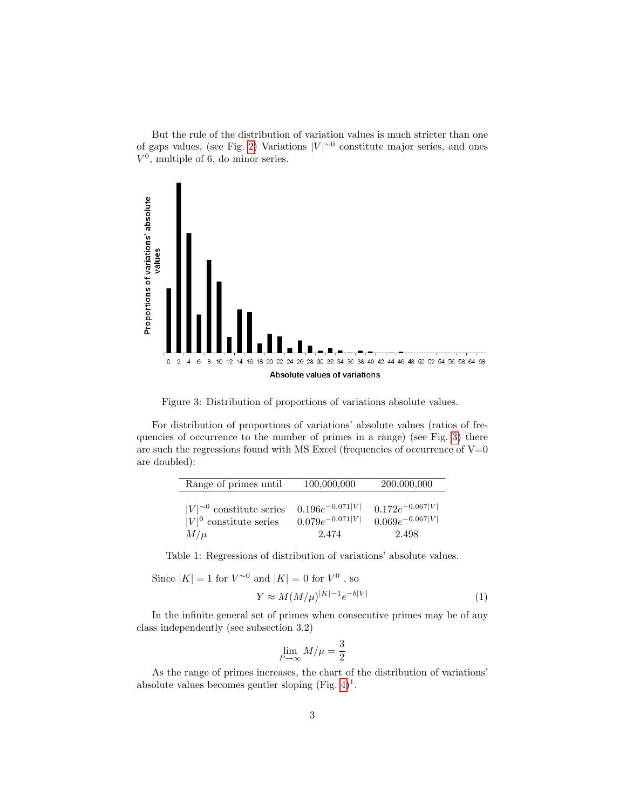But the rule of the distribution of variation values is much stricter than one of gaps values, (see Fig. [2\)](#page-3-1) Variations  $|V|^{\sim 0}$  constitute major series, and ones  $V^0$ , multiple of 6, do minor series.



<span id="page-4-0"></span>Figure 3: Distribution of proportions of variations absolute values.

For distribution of proportions of variations' absolute values (ratios of frequencies of occurrence to the number of primes in a range) (see Fig. [3\)](#page-4-0) there are such the regressions found with MS Excel (frequencies of occurrence of  $V=0$ are doubled):

| Range of primes until            | 100,000,000          | 200,000,000          |
|----------------------------------|----------------------|----------------------|
| $ V ^{\sim 0}$ constitute series | $0.196e^{-0.071 V }$ | $0.172e^{-0.067 V }$ |
| $ V ^0$ constitute series        | $0.079e^{-0.071 V }$ | $0.069e^{-0.067 V }$ |
| $M/\mu$                          | 2.474                | 2.498                |

Table 1: Regressions of distribution of variations' absolute values.

Since 
$$
|K| = 1
$$
 for  $V^{\sim 0}$  and  $|K| = 0$  for  $V^0$ , so

$$
Y \approx M(M/\mu)^{|K|-1} e^{-b|V|} \tag{1}
$$

In the infinite general set of primes when consecutive primes may be of any class independently (see subsection 3.2)

$$
\lim_{P \to \infty} M/\mu = \frac{3}{2}
$$

As the range of primes increases, the chart of the distribution of variations' absolute values becomes gentler sloping (Fig.  $4)^{1}$ .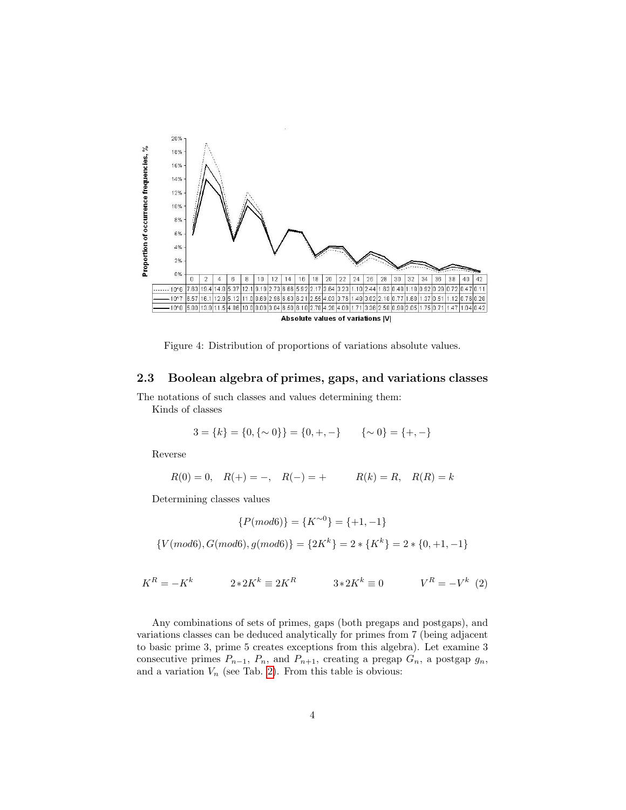

<span id="page-5-0"></span>Figure 4: Distribution of proportions of variations absolute values.

### 2.3 Boolean algebra of primes, gaps, and variations classes

The notations of such classes and values determining them: Kinds of classes

$$
3 = \{k\} = \{0, \{\sim 0\}\} = \{0, +, -\} \qquad \{\sim 0\} = \{+, -\}
$$

Reverse

$$
R(0) = 0, \quad R(+) = -, \quad R(-) = + \qquad \quad R(k) = R, \quad R(R) = k
$$

Determining classes values

$$
\{P(mod6)\} = \{K^{\sim0}\} = \{+1, -1\}
$$

$$
\{V(mod6), G(mod6), g(mod6)\} = \{2K^k\} = 2 * \{K^k\} = 2 * \{0, +1, -1\}
$$

$$
K^{R} = -K^{k} \t 2*2K^{k} \equiv 2K^{R} \t 3*2K^{k} \equiv 0 \t V^{R} = -V^{k} \t (2)
$$

Any combinations of sets of primes, gaps (both pregaps and postgaps), and variations classes can be deduced analytically for primes from 7 (being adjacent to basic prime 3, prime 5 creates exceptions from this algebra). Let examine 3 consecutive primes  $P_{n-1}$ ,  $P_n$ , and  $P_{n+1}$ , creating a pregap  $G_n$ , a postgap  $g_n$ , and a variation  $V_n$  (see Tab. [2\)](#page-6-0). From this table is obvious: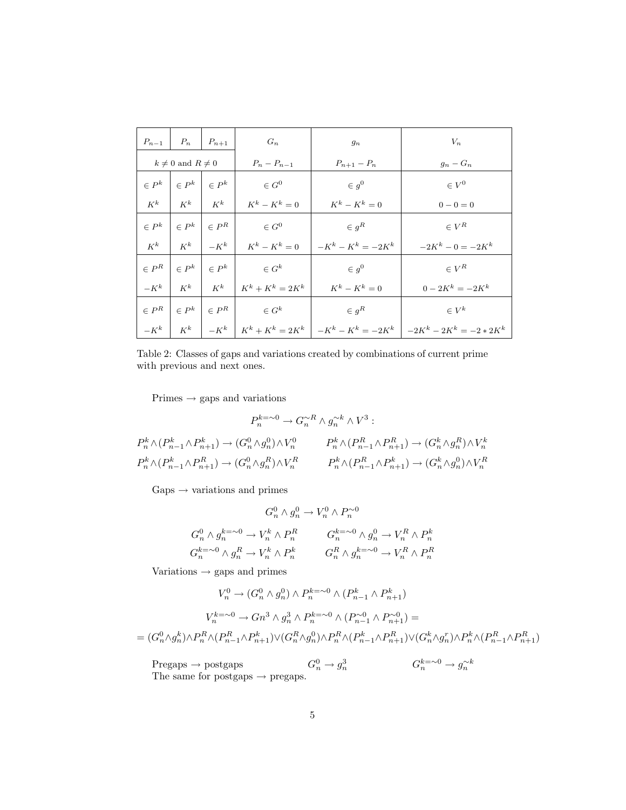|                           | $P_{n-1}$   $P_n$ | $P_{n+1}$                  | $G_n$                                                | $g_n$                    | $V_n$                                                                           |  |
|---------------------------|-------------------|----------------------------|------------------------------------------------------|--------------------------|---------------------------------------------------------------------------------|--|
| $k \neq 0$ and $R \neq 0$ |                   | $P_n - P_{n-1}$            | $P_{n+1} - P_n$                                      | $g_n-G_n$                |                                                                                 |  |
| $\in P^k$                 | $\in P^k$         | $\vert \ \in P^k$          | $\in G^0$                                            | $\in g^0$                | $\in V^0$                                                                       |  |
| $K^k$                     |                   | $K^k$   $K^k$              | $K^k - K^k = 0$                                      | $K^k - K^k = 0$          | $0 - 0 = 0$                                                                     |  |
| $\in P^k$                 |                   | $\in P^k$ $\mid$ $\in P^R$ | $\in G^0$                                            | $\in$ $g^R$              | $\in V^R$                                                                       |  |
| $K^k$                     | $K^k$             | $-K^k$                     | $K^k - K^k = 0$                                      | $-K^k - K^k = -2K^k$     | $-2K^k - 0 = -2K^k$                                                             |  |
| $\in P^R$                 | $\in P^k$         | $\perp \in P^k$            | $\in G^k$                                            | $\in g^0$                | $\in V^R$                                                                       |  |
| $-K^k$                    |                   |                            | $K^k$ $K^k$ $K^k + K^k = 2K^k$                       | $K^k - K^k = 0$          | $0 - 2K^k = -2K^k$                                                              |  |
| $\in P^R$                 | $\in P^k$         |                            | $\begin{array}{c c} \in P^R & \end{array}$ $\in G^k$ | $\in$ $g^R$<br>$\in V^k$ |                                                                                 |  |
| $-K^k$                    | $K^k$             |                            |                                                      |                          | $-K^k$   $K^k + K^k = 2K^k$   $-K^k - K^k = -2K^k$   $-2K^k - 2K^k = -2 * 2K^k$ |  |

<span id="page-6-0"></span>Table 2: Classes of gaps and variations created by combinations of current prime with previous and next ones.

 $\text{Primes} \rightarrow \text{gaps}$  and variations

$$
P_n^{k=0} \to G_n^{\sim R} \wedge g_n^{\sim k} \wedge V^3 :
$$
  
\n
$$
P_n^k \wedge (P_{n-1}^k \wedge P_{n+1}^k) \to (G_n^0 \wedge g_n^0) \wedge V_n^0
$$
  
\n
$$
P_n^k \wedge (P_{n-1}^k \wedge P_{n+1}^R) \to (G_n^0 \wedge g_n^R) \wedge V_n^R
$$
  
\n
$$
P_n^k \wedge (P_{n-1}^k \wedge P_{n+1}^R) \to (G_n^k \wedge g_n^R) \wedge V_n^R
$$
  
\n
$$
P_n^k \wedge (P_{n-1}^k \wedge P_{n+1}^k) \to (G_n^k \wedge g_n^0) \wedge V_n^R
$$

 $\text{Gaps} \rightarrow \text{variations}$  and primes

$$
G_n^0 \wedge g_n^0 \to V_n^0 \wedge P_n^{\sim 0}
$$
  

$$
G_n^0 \wedge g_n^{k=\sim 0} \to V_n^k \wedge P_n^R \qquad G_n^{k=\sim 0} \wedge g_n^0 \to V_n^R \wedge P_n^k
$$
  

$$
G_n^{k=\sim 0} \wedge g_n^R \to V_n^k \wedge P_n^k \qquad G_n^R \wedge g_n^{k=\sim 0} \to V_n^R \wedge P_n^R
$$

Variations  $\rightarrow$  gaps and primes

$$
V_n^0 \to (G_n^0 \wedge g_n^0) \wedge P_n^{k=\sim 0} \wedge (P_{n-1}^k \wedge P_{n+1}^k)
$$
  

$$
V_n^{k=\sim 0} \to Gn^3 \wedge g_n^3 \wedge P_n^{k=\sim 0} \wedge (P_{n-1}^{\sim 0} \wedge P_{n+1}^{\sim 0}) =
$$
  

$$
= (G_n^0 \wedge g_n^k) \wedge P_n^R \wedge (P_{n-1}^R \wedge P_{n+1}^k) \vee (G_n^R \wedge g_n^0) \wedge P_n^R \wedge (P_{n-1}^k \wedge P_{n+1}^R) \vee (G_n^k \wedge g_n^r) \wedge P_n^k \wedge (P_{n-1}^R \wedge P_{n+1}^R)
$$

Pregaps  $\rightarrow$  postgaps  $G_n^0$  $\frac{0}{n} \rightarrow g_n^3$ 3<br>n G<sup>k=∼0</sup> → g<sup>∼k</sup> The same for postgaps  $\rightarrow$  pregaps.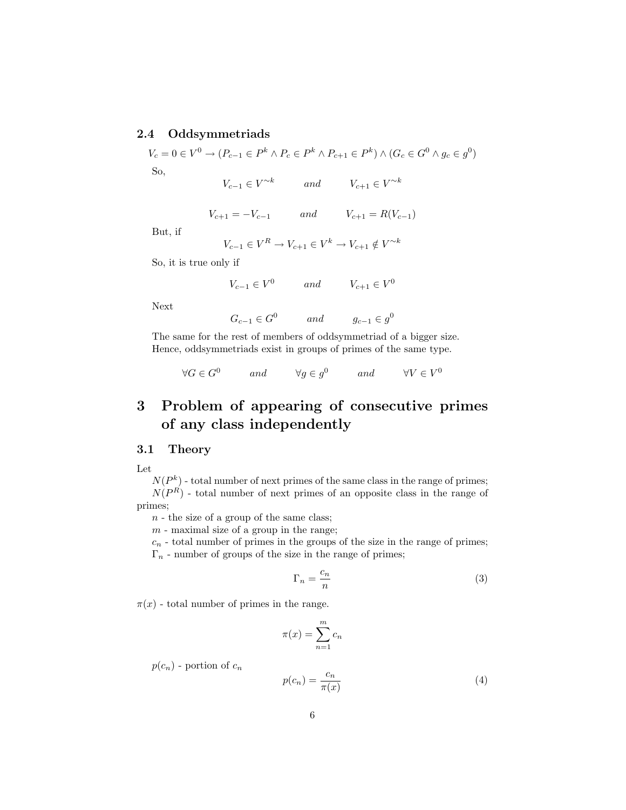### 2.4 Oddsymmetriads

 $V_c = 0 \in V^0 \to (P_{c-1} \in P^k \land P_c \in P^k \land P_{c+1} \in P^k) \land (G_c \in G^0 \land g_c \in g^0)$ So,

 $V_{c-1} \in V^{\sim k}$  and  $V_{c+1} \in V^{\sim k}$ 

$$
V_{c+1} = -V_{c-1} \t and \t V_{c+1} = R(V_{c-1})
$$

But, if

$$
V_{c-1}\in V^R\rightarrow V_{c+1}\in V^k\rightarrow V_{c+1}\notin V^{\sim k}
$$

So, it is true only if

$$
V_{c-1} \in V^0 \qquad and \qquad V_{c+1} \in V^0
$$

Next

$$
G_{c-1} \in G^0 \qquad and \qquad g_{c-1} \in g^0
$$

The same for the rest of members of oddsymmetriad of a bigger size. Hence, oddsymmetriads exist in groups of primes of the same type.

$$
\forall G \in G^0 \qquad and \qquad \forall g \in g^0 \qquad and \qquad \forall V \in V^0
$$

# 3 Problem of appearing of consecutive primes of any class independently

### 3.1 Theory

Let

 $N(P<sup>k</sup>)$  - total number of next primes of the same class in the range of primes;  $N(P<sup>R</sup>)$  - total number of next primes of an opposite class in the range of primes;

 $n -$  the size of a group of the same class;

 $m$  - maximal size of a group in the range;

 $c_n$  - total number of primes in the groups of the size in the range of primes;  $\Gamma_n$  - number of groups of the size in the range of primes;

$$
\Gamma_n = \frac{c_n}{n} \tag{3}
$$

 $\pi(x)$  - total number of primes in the range.

$$
\pi(x) = \sum_{n=1}^{m} c_n
$$

 $p(c_n)$  - portion of  $c_n$ 

$$
p(c_n) = \frac{c_n}{\pi(x)}\tag{4}
$$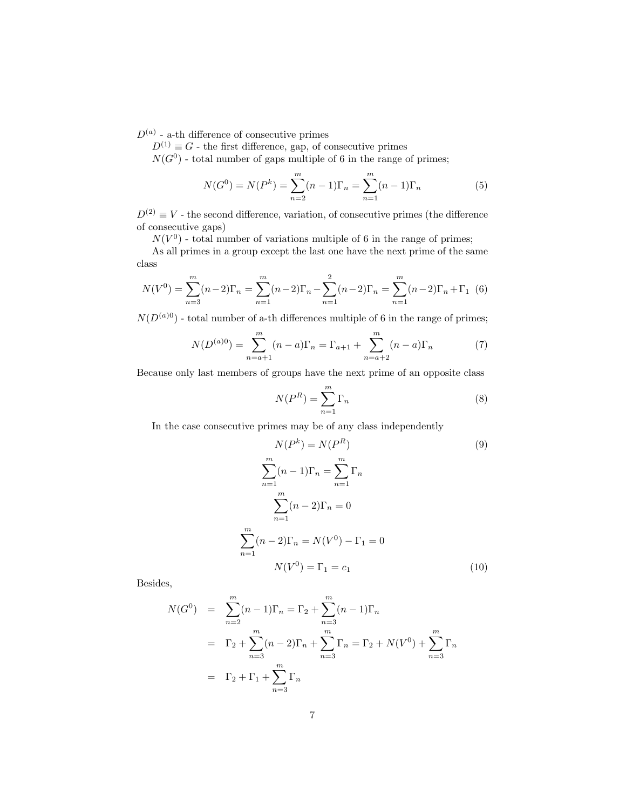$D^{(a)}$  - a-th difference of consecutive primes

 $D^{(1)} \equiv G$  - the first difference, gap, of consecutive primes

 $N(G^0)$  - total number of gaps multiple of 6 in the range of primes;

$$
N(G^{0}) = N(P^{k}) = \sum_{n=2}^{m} (n-1)\Gamma_{n} = \sum_{n=1}^{m} (n-1)\Gamma_{n}
$$
 (5)

 $D^{(2)} \equiv V$  - the second difference, variation, of consecutive primes (the difference of consecutive gaps)

 $N(V^0)$  - total number of variations multiple of 6 in the range of primes;

As all primes in a group except the last one have the next prime of the same class

$$
N(V^{0}) = \sum_{n=3}^{m} (n-2)\Gamma_{n} = \sum_{n=1}^{m} (n-2)\Gamma_{n} - \sum_{n=1}^{2} (n-2)\Gamma_{n} = \sum_{n=1}^{m} (n-2)\Gamma_{n} + \Gamma_{1} (6)
$$

 $N(D^{(a)0})$  - total number of a-th differences multiple of 6 in the range of primes;

$$
N(D^{(a)0}) = \sum_{n=a+1}^{m} (n-a)\Gamma_n = \Gamma_{a+1} + \sum_{n=a+2}^{m} (n-a)\Gamma_n
$$
 (7)

Because only last members of groups have the next prime of an opposite class

$$
N(P^R) = \sum_{n=1}^{m} \Gamma_n
$$
\n(8)

In the case consecutive primes may be of any class independently

$$
N(P^{k}) = N(P^{R})
$$
(9)  

$$
\sum_{n=1}^{m} (n-1)\Gamma_{n} = \sum_{n=1}^{m} \Gamma_{n}
$$
  

$$
\sum_{n=1}^{m} (n-2)\Gamma_{n} = 0
$$
  

$$
\sum_{n=1}^{m} (n-2)\Gamma_{n} = N(V^{0}) - \Gamma_{1} = 0
$$
  

$$
N(V^{0}) = \Gamma_{1} = c_{1}
$$
(10)

Besides,

$$
N(G^{0}) = \sum_{n=2}^{m} (n-1)\Gamma_{n} = \Gamma_{2} + \sum_{n=3}^{m} (n-1)\Gamma_{n}
$$
  
=  $\Gamma_{2} + \sum_{n=3}^{m} (n-2)\Gamma_{n} + \sum_{n=3}^{m} \Gamma_{n} = \Gamma_{2} + N(V^{0}) + \sum_{n=3}^{m} \Gamma_{n}$   
=  $\Gamma_{2} + \Gamma_{1} + \sum_{n=3}^{m} \Gamma_{n}$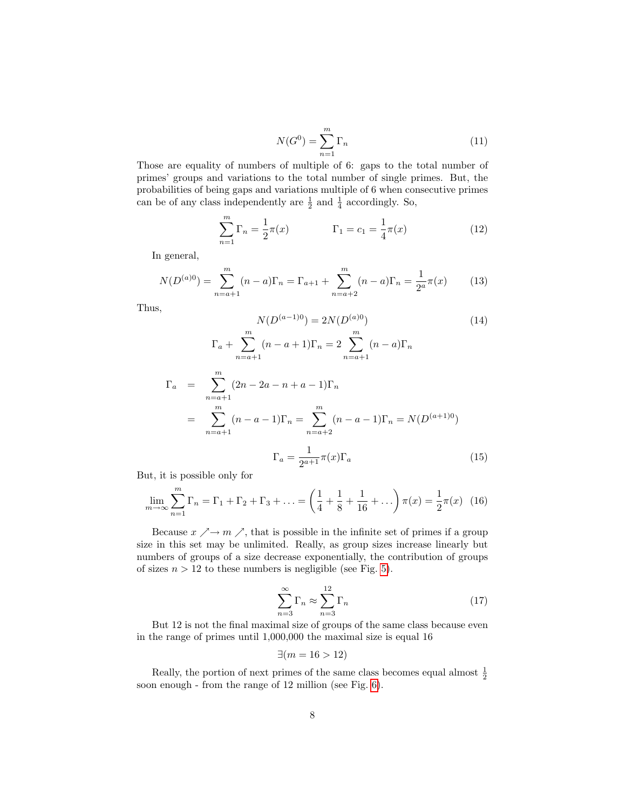$$
N(G^0) = \sum_{n=1}^{m} \Gamma_n
$$
\n(11)

Those are equality of numbers of multiple of 6: gaps to the total number of primes' groups and variations to the total number of single primes. But, the probabilities of being gaps and variations multiple of 6 when consecutive primes can be of any class independently are  $\frac{1}{2}$  and  $\frac{1}{4}$  accordingly. So,

$$
\sum_{n=1}^{m} \Gamma_n = \frac{1}{2}\pi(x) \qquad \Gamma_1 = c_1 = \frac{1}{4}\pi(x) \qquad (12)
$$

In general,

 $\Gamma_a$ 

$$
N(D^{(a)0}) = \sum_{n=a+1}^{m} (n-a)\Gamma_n = \Gamma_{a+1} + \sum_{n=a+2}^{m} (n-a)\Gamma_n = \frac{1}{2^a} \pi(x)
$$
 (13)

Thus,

$$
N(D^{(a-1)0}) = 2N(D^{(a)0})
$$
\n
$$
\Gamma_a + \sum_{n=a+1}^{m} (n-a+1)\Gamma_n = 2 \sum_{n=a+1}^{m} (n-a)\Gamma_n
$$
\n
$$
= \sum_{n=a+1}^{m} (2n - 2a - n + a - 1)\Gamma_n
$$
\n
$$
= \sum_{n=a+1}^{m} (n-a-1)\Gamma_n = \sum_{n=a+2}^{m} (n-a-1)\Gamma_n = N(D^{(a+1)0})
$$
\n
$$
\Gamma_a = \frac{1}{2^{a+1}} \pi(x)\Gamma_a
$$
\n(15)

But, it is possible only for

$$
\lim_{m \to \infty} \sum_{n=1}^{m} \Gamma_n = \Gamma_1 + \Gamma_2 + \Gamma_3 + \dots = \left(\frac{1}{4} + \frac{1}{8} + \frac{1}{16} + \dots\right) \pi(x) = \frac{1}{2} \pi(x) \tag{16}
$$

Because  $x \nearrow \rightarrow m \nearrow$ , that is possible in the infinite set of primes if a group size in this set may be unlimited. Really, as group sizes increase linearly but numbers of groups of a size decrease exponentially, the contribution of groups of sizes  $n > 12$  to these numbers is negligible (see Fig. [5\)](#page-10-0).

$$
\sum_{n=3}^{\infty} \Gamma_n \approx \sum_{n=3}^{12} \Gamma_n \tag{17}
$$

But 12 is not the final maximal size of groups of the same class because even in the range of primes until 1,000,000 the maximal size is equal 16

$$
\exists (m = 16 > 12)
$$

Really, the portion of next primes of the same class becomes equal almost  $\frac{1}{2}$ soon enough - from the range of 12 million (see Fig. [6\)](#page-10-1).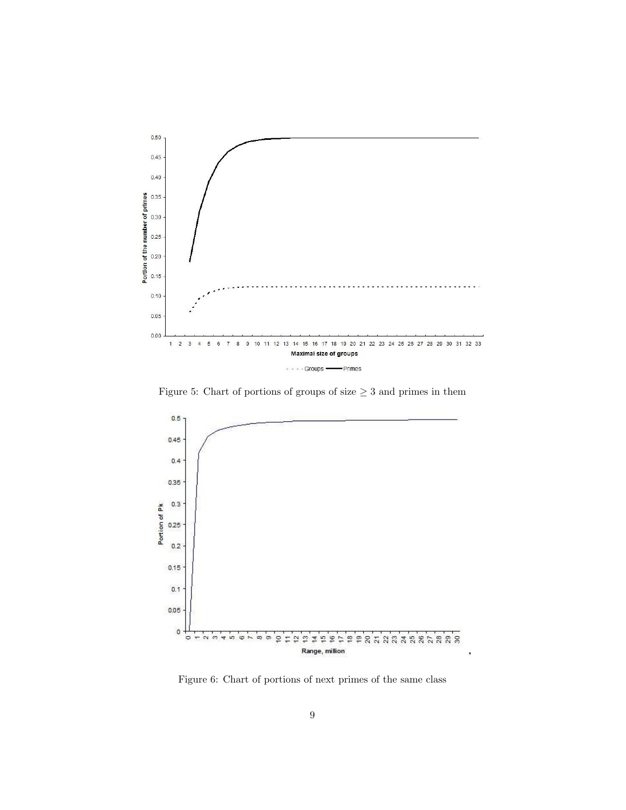

<span id="page-10-0"></span>Figure 5: Chart of portions of groups of size  $\geq 3$  and primes in them



<span id="page-10-1"></span>Figure 6: Chart of portions of next primes of the same class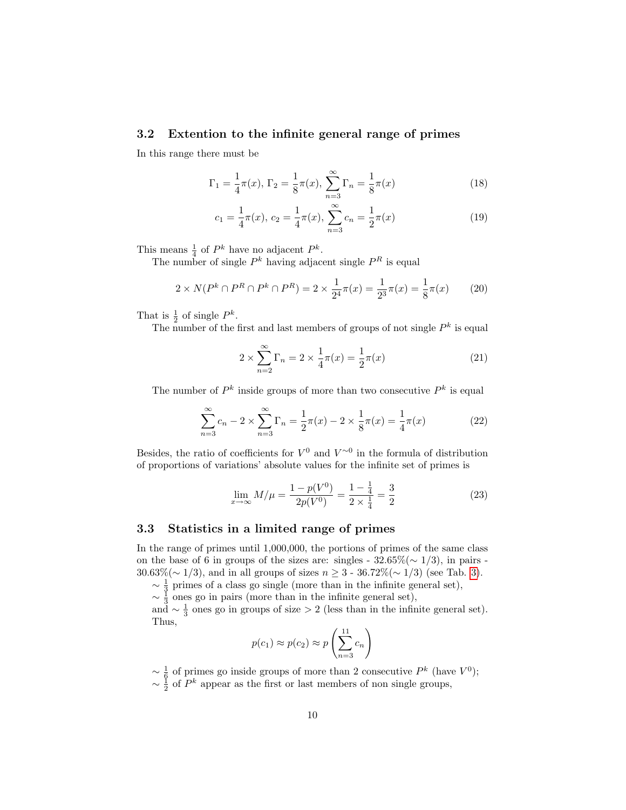### 3.2 Extention to the infinite general range of primes

In this range there must be

$$
\Gamma_1 = \frac{1}{4}\pi(x), \Gamma_2 = \frac{1}{8}\pi(x), \sum_{n=3}^{\infty} \Gamma_n = \frac{1}{8}\pi(x)
$$
 (18)

$$
c_1 = \frac{1}{4}\pi(x), \ c_2 = \frac{1}{4}\pi(x), \ \sum_{n=3}^{\infty} c_n = \frac{1}{2}\pi(x) \tag{19}
$$

This means  $\frac{1}{4}$  of  $P^k$  have no adjacent  $P^k$ .

The number of single  $P^k$  having adjacent single  $P^R$  is equal

$$
2 \times N(P^k \cap P^R \cap P^k \cap P^R) = 2 \times \frac{1}{2^4} \pi(x) = \frac{1}{2^3} \pi(x) = \frac{1}{8} \pi(x) \tag{20}
$$

That is  $\frac{1}{2}$  of single  $P^k$ .

The number of the first and last members of groups of not single  $P^k$  is equal

$$
2 \times \sum_{n=2}^{\infty} \Gamma_n = 2 \times \frac{1}{4} \pi(x) = \frac{1}{2} \pi(x)
$$
 (21)

The number of  $P^k$  inside groups of more than two consecutive  $P^k$  is equal

$$
\sum_{n=3}^{\infty} c_n - 2 \times \sum_{n=3}^{\infty} \Gamma_n = \frac{1}{2} \pi(x) - 2 \times \frac{1}{8} \pi(x) = \frac{1}{4} \pi(x)
$$
 (22)

Besides, the ratio of coefficients for  $V^0$  and  $V^{\sim 0}$  in the formula of distribution of proportions of variations' absolute values for the infinite set of primes is

$$
\lim_{x \to \infty} M/\mu = \frac{1 - p(V^0)}{2p(V^0)} = \frac{1 - \frac{1}{4}}{2 \times \frac{1}{4}} = \frac{3}{2}
$$
\n(23)

### 3.3 Statistics in a limited range of primes

In the range of primes until 1,000,000, the portions of primes of the same class on the base of 6 in groups of the sizes are: singles -  $32.65\%(\sim 1/3)$ , in pairs -30.63%( $\sim$  1/3), and in all groups of sizes  $n \ge 3$  - 36.72%( $\sim$  1/3) (see Tab. [3\)](#page-12-0).

 $\sim \frac{1}{3}$  primes of a class go single (more than in the infinite general set),

 $\sim \frac{1}{3}$  ones go in pairs (more than in the infinite general set),

and  $\sim \frac{1}{3}$  ones go in groups of size > 2 (less than in the infinite general set). Thus,

$$
p(c_1) \approx p(c_2) \approx p\left(\sum_{n=3}^{11} c_n\right)
$$

 $\sim \frac{1}{6}$  of primes go inside groups of more than 2 consecutive  $P^k$  (have  $V^0$ );  $\sim \frac{1}{2}$  of  $P^k$  appear as the first or last members of non single groups,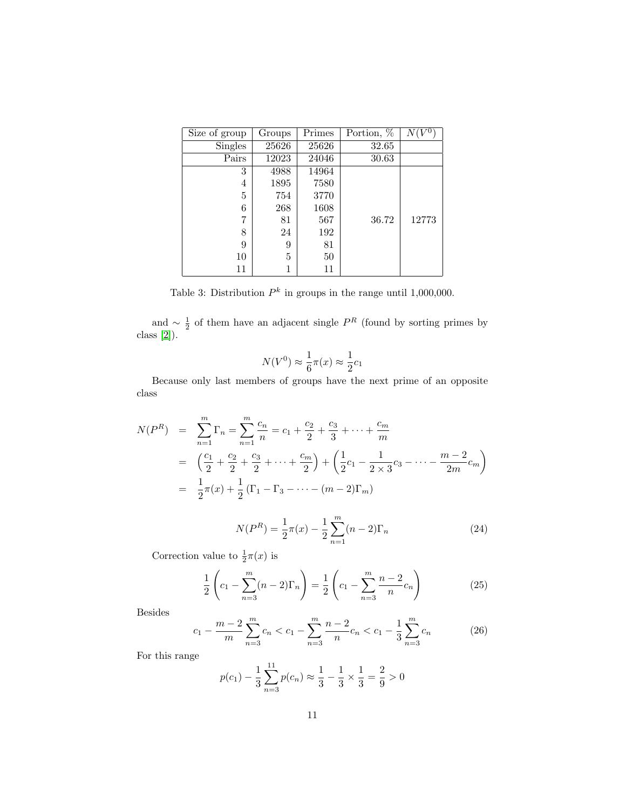| Size of group | Groups | Primes | Portion, % | $N(V^0)$ |
|---------------|--------|--------|------------|----------|
| Singles       | 25626  | 25626  | 32.65      |          |
| Pairs         | 12023  | 24046  | 30.63      |          |
| 3             | 4988   | 14964  |            |          |
| 4             | 1895   | 7580   |            |          |
| 5             | 754    | 3770   |            |          |
| 6             | 268    | 1608   |            |          |
| 7             | 81     | 567    | 36.72      | 12773    |
| 8             | 24     | 192    |            |          |
| 9             | 9      | 81     |            |          |
| 10            | 5      | 50     |            |          |
| 11            |        | 11     |            |          |

<span id="page-12-0"></span>Table 3: Distribution  $P^k$  in groups in the range until 1,000,000.

and  $\sim \frac{1}{2}$  of them have an adjacent single  $P<sup>R</sup>$  (found by sorting primes by class [\[2\]](#page-14-1)).

$$
N(V^{0}) \approx \frac{1}{6}\pi(x) \approx \frac{1}{2}c_{1}
$$

Because only last members of groups have the next prime of an opposite class

$$
N(P^{R}) = \sum_{n=1}^{m} \Gamma_{n} = \sum_{n=1}^{m} \frac{c_{n}}{n} = c_{1} + \frac{c_{2}}{2} + \frac{c_{3}}{3} + \dots + \frac{c_{m}}{m}
$$
  
\n
$$
= \left(\frac{c_{1}}{2} + \frac{c_{2}}{2} + \frac{c_{3}}{2} + \dots + \frac{c_{m}}{2}\right) + \left(\frac{1}{2}c_{1} - \frac{1}{2\times3}c_{3} - \dots - \frac{m-2}{2m}c_{m}\right)
$$
  
\n
$$
= \frac{1}{2}\pi(x) + \frac{1}{2}\left(\Gamma_{1} - \Gamma_{3} - \dots - (m-2)\Gamma_{m}\right)
$$
  
\n
$$
N(P^{R}) = \frac{1}{2}\pi(x) - \frac{1}{2}\sum_{n=1}^{m} (n-2)\Gamma_{n}
$$
(24)

Correction value to  $\frac{1}{2}\pi(x)$  is

$$
\frac{1}{2}\left(c_1 - \sum_{n=3}^{m} (n-2)\Gamma_n\right) = \frac{1}{2}\left(c_1 - \sum_{n=3}^{m} \frac{n-2}{n}c_n\right)
$$
(25)

Besides

$$
c_1 - \frac{m-2}{m} \sum_{n=3}^{m} c_n < c_1 - \sum_{n=3}^{m} \frac{n-2}{n} c_n < c_1 - \frac{1}{3} \sum_{n=3}^{m} c_n \tag{26}
$$

For this range

$$
p(c_1) - \frac{1}{3} \sum_{n=3}^{11} p(c_n) \approx \frac{1}{3} - \frac{1}{3} \times \frac{1}{3} = \frac{2}{9} > 0
$$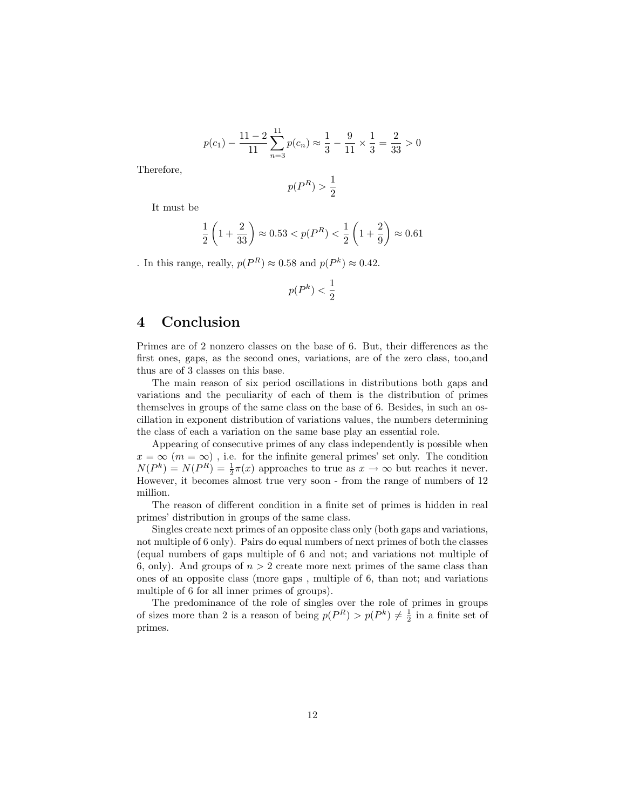$$
p(c_1) - \frac{11 - 2}{11} \sum_{n=3}^{11} p(c_n) \approx \frac{1}{3} - \frac{9}{11} \times \frac{1}{3} = \frac{2}{33} > 0
$$

Therefore,

$$
p(P^R) > \frac{1}{2}
$$

It must be

$$
\frac{1}{2}\left(1+\frac{2}{33}\right) \approx 0.53 < p(P^R) < \frac{1}{2}\left(1+\frac{2}{9}\right) \approx 0.61
$$

. In this range, really,  $p(P^R) \approx 0.58$  and  $p(P^k) \approx 0.42$ .

$$
p(P^k) < \frac{1}{2}
$$

### 4 Conclusion

Primes are of 2 nonzero classes on the base of 6. But, their differences as the first ones, gaps, as the second ones, variations, are of the zero class, too,and thus are of 3 classes on this base.

The main reason of six period oscillations in distributions both gaps and variations and the peculiarity of each of them is the distribution of primes themselves in groups of the same class on the base of 6. Besides, in such an oscillation in exponent distribution of variations values, the numbers determining the class of each a variation on the same base play an essential role.

Appearing of consecutive primes of any class independently is possible when  $x = \infty$  ( $m = \infty$ ), i.e. for the infinite general primes' set only. The condition  $N(P^k) = N(P^R) = \frac{1}{2}\pi(x)$  approaches to true as  $x \to \infty$  but reaches it never. However, it becomes almost true very soon - from the range of numbers of 12 million.

The reason of different condition in a finite set of primes is hidden in real primes' distribution in groups of the same class.

Singles create next primes of an opposite class only (both gaps and variations, not multiple of 6 only). Pairs do equal numbers of next primes of both the classes (equal numbers of gaps multiple of 6 and not; and variations not multiple of 6, only). And groups of  $n > 2$  create more next primes of the same class than ones of an opposite class (more gaps , multiple of 6, than not; and variations multiple of 6 for all inner primes of groups).

The predominance of the role of singles over the role of primes in groups of sizes more than 2 is a reason of being  $p(P^R) > p(P^k) \neq \frac{1}{2}$  in a finite set of primes.